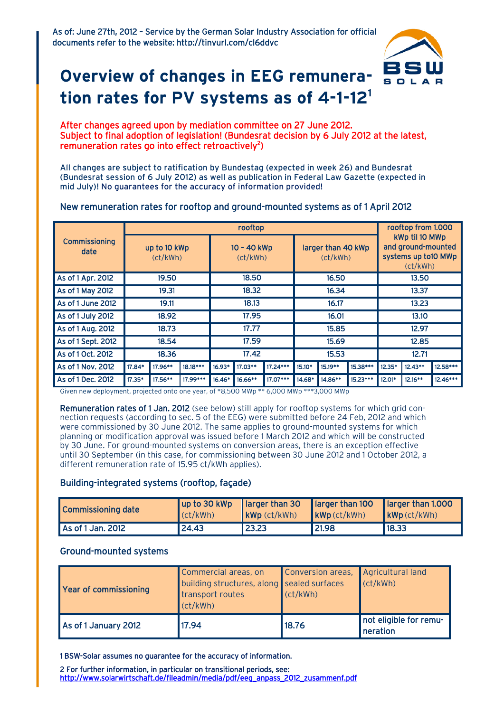

# **Overview of changes in EEG remuneration rates for PV systems as of 4-1-121**

#### After changes agreed upon by mediation committee on 27 June 2012. Subject to final adoption of legislation! (Bundesrat decision by 6 July 2012 at the latest, remuneration rates go into effect retroactively<sup>2</sup>)

All changes are subject to ratification by Bundestag (expected in week 26) and Bundesrat (Bundesrat session of 6 July 2012) as well as publication in Federal Law Gazette (expected in mid July)! No guarantees for the accuracy of information provided!

### New remuneration rates for rooftop and ground-mounted systems as of 1 April 2012

|                              | rooftop                  |         |          |                         |           |            |                                |         |            | rooftop from 1.000                                                       |            |          |
|------------------------------|--------------------------|---------|----------|-------------------------|-----------|------------|--------------------------------|---------|------------|--------------------------------------------------------------------------|------------|----------|
| <b>Commissioning</b><br>date | up to 10 kWp<br>(ct/kWh) |         |          | 10 - 40 kWp<br>(ct/kWh) |           |            | larger than 40 kWp<br>(ct/kWh) |         |            | kWp til 10 MWp<br>and ground-mounted<br>systems up to 10 MWp<br>(ct/kWh) |            |          |
| As of 1 Apr. 2012            | 19.50                    |         |          | 18.50                   |           |            | 16.50                          |         |            | 13.50                                                                    |            |          |
| As of 1 May 2012             | 19.31                    |         |          | 18.32                   |           |            | 16.34                          |         |            | 13.37                                                                    |            |          |
| As of 1 June 2012            | 19.11                    |         |          | 18.13                   |           |            | 16.17                          |         | 13.23      |                                                                          |            |          |
| As of 1 July 2012            | 18.92                    |         |          | 17.95                   |           |            | 16.01                          |         |            | 13.10                                                                    |            |          |
| As of 1 Aug. 2012            | 18.73                    |         |          | 17.77                   |           |            | 15.85                          |         |            | 12.97                                                                    |            |          |
| As of 1 Sept. 2012           | 18.54                    |         |          | 17.59                   |           |            | 15.69                          |         | 12.85      |                                                                          |            |          |
| As of 1 Oct. 2012            | 18.36                    |         |          | 17.42                   |           |            | 15.53                          |         |            | 12.71                                                                    |            |          |
| As of 1 Nov. 2012            | 17.84*                   | 17.96** | 18.18*** | $16.93*$                | 17.03**   | $17.24***$ | $15.10*$                       | 15.19** | 15.38***   | $12.35*$                                                                 | $12.43**$  | 12.58*** |
| As of 1 Dec. 2012            | 17.35*                   | 17.56** | 17.99*** | $16.46*$                | $16.66**$ | 17.07***   | 14.68*                         | 14.86** | $15.23***$ | $12.01*$                                                                 | $12.16***$ | 12.46*** |

Given new deployment, projected onto one year, of \*8,500 MWp \*\* 6,000 MWp \*\*\*3,000 MWp

Remuneration rates of 1 Jan. 2012 (see below) still apply for rooftop systems for which grid connection requests (according to sec. 5 of the EEG) were submitted before 24 Feb, 2012 and which were commissioned by 30 June 2012. The same applies to ground-mounted systems for which planning or modification approval was issued before 1 March 2012 and which will be constructed by 30 June. For ground-mounted systems on conversion areas, there is an exception effective until 30 September (in this case, for commissioning between 30 June 2012 and 1 October 2012, a different remuneration rate of 15.95 ct/kWh applies).

#### Building-integrated systems (rooftop, façade)

| Commissioning date | (ct/kWh) | $\mathsf{KWP}\left(\mathsf{ct}/\mathsf{kWh}\right)$ | up to 30 kWp   larger than 30   larger than 100   larger than 1.000<br>kWp(ct/kWh) | $\mathsf{KWP}\left(\mathsf{ct}/\mathsf{kWh}\right)$ |  |
|--------------------|----------|-----------------------------------------------------|------------------------------------------------------------------------------------|-----------------------------------------------------|--|
| As of 1 Jan. 2012  | 24.43    | 23.23                                               | 21.98                                                                              | 18.33                                               |  |

#### Ground-mounted systems

| Year of commissioning | Commercial areas, on<br>building structures, along sealed surfaces<br>transport routes<br>$\vert$ (ct/kWh) | Conversion areas, Agricultural land<br>cct/kWh | $ $ (ct/kWh)                       |  |  |
|-----------------------|------------------------------------------------------------------------------------------------------------|------------------------------------------------|------------------------------------|--|--|
| As of 1 January 2012  | 17.94                                                                                                      | 18.76                                          | not eligible for remu-<br>neration |  |  |

1 BSW-Solar assumes no guarantee for the accuracy of information.

2 For further information, in particular on transitional periods, see: [http://www.solarwirtschaft.de/fileadmin/media/pdf/eeg\\_anpass\\_2012\\_zusammenf.pdf](http://www.solarwirtschaft.de/fileadmin/media/pdf/eeg_anpass_2012_zusammenf.pdf)